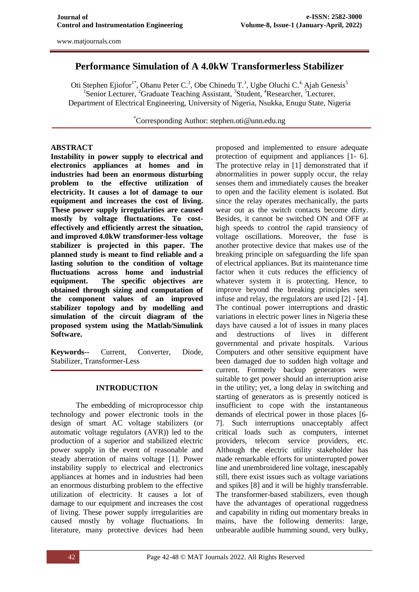# **Performance Simulation of A 4.0kW Transformerless Stabilizer**

Oti Stephen Ejiofor<sup>1\*</sup>, Ohanu Peter C.<sup>2</sup>, Obe Chinedu T.<sup>3</sup>, Ugbe Oluchi C.<sup>4</sup> Ajah Genesis<sup>5</sup> <sup>1</sup>Senior Lecturer, <sup>2</sup>Graduate Teaching Assistant, <sup>3</sup>Student, <sup>4</sup>Researcher, <sup>5</sup>Lecturer, Department of Electrical Engineering, University of Nigeria, Nsukka, Enugu State, Nigeria

\*Corresponding Author: [stephen.oti@unn.edu.ng](mailto:stephen.oti@unn.edu.ng)

### **ABSTRACT**

**Instability in power supply to electrical and electronics appliances at homes and in industries had been an enormous disturbing problem to the effective utilization of electricity. It causes a lot of damage to our equipment and increases the cost of living. These power supply irregularities are caused mostly by voltage fluctuations. To costeffectively and efficiently arrest the situation, and improved 4.0kW transformer-less voltage stabilizer is projected in this paper. The planned study is meant to find reliable and a lasting solution to the condition of voltage fluctuations across home and industrial equipment. The specific objectives are obtained through sizing and computation of the component values of an improved stabilizer topology and by modelling and simulation of the circuit diagram of the proposed system using the Matlab/Simulink Software.**

**Keywords--** Current, Converter, Diode, Stabilizer, Transformer-Less

### **INTRODUCTION**

The embedding of microprocessor chip technology and power electronic tools in the design of smart AC voltage stabilizers (or automatic voltage regulators (AVR)) led to the production of a superior and stabilized electric power supply in the event of reasonable and steady aberration of mains voltage [1]. Power instability supply to electrical and electronics appliances at homes and in industries had been an enormous disturbing problem to the effective utilization of electricity. It causes a lot of damage to our equipment and increases the cost of living. These power supply irregularities are caused mostly by voltage fluctuations. In literature, many protective devices had been

proposed and implemented to ensure adequate protection of equipment and appliances [1- 6]. The protective relay in [1] demonstrated that if abnormalities in power supply occur, the relay senses them and immediately causes the breaker to open and the facility element is isolated. But since the relay operates mechanically, the parts wear out as the switch contacts become dirty. Besides, it cannot be switched ON and OFF at high speeds to control the rapid transiency of voltage oscillations. Moreover, the fuse is another protective device that makes use of the breaking principle on safeguarding the life span of electrical appliances. But its maintenance time factor when it cuts reduces the efficiency of whatever system it is protecting. Hence, to improve beyond the breaking principles seen infuse and relay, the regulators are used [2] - [4]. The continual power interruptions and drastic variations in electric power lines in Nigeria these days have caused a lot of issues in many places and destructions of lives in different governmental and private hospitals. Various Computers and other sensitive equipment have been damaged due to sudden high voltage and current. Formerly backup generators were suitable to get power should an interruption arise in the utility; yet, a long delay in switching and starting of generators as is presently noticed is insufficient to cope with the instantaneous demands of electrical power in those places [6- 7]. Such interruptions unacceptably affect critical loads such as computers, internet providers, telecom service providers, etc. Although the electric utility stakeholder has made remarkable efforts for uninterrupted power line and unembroidered line voltage, inescapably still, there exist issues such as voltage variations and spikes [8] and it will be highly transferrable. The transformer-based stabilizers, even though have the advantages of operational ruggedness and capability in riding out momentary breaks in mains, have the following demerits: large, unbearable audible humming sound, very bulky,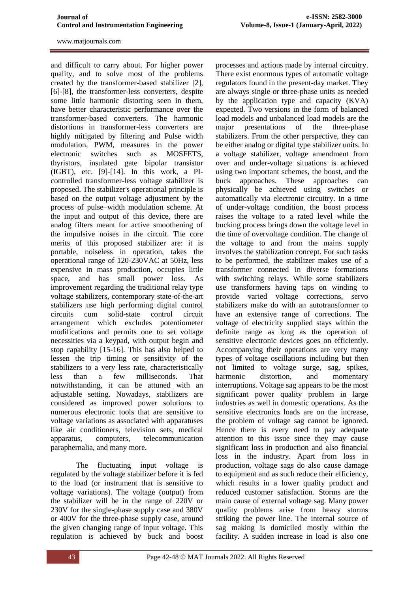and difficult to carry about. For higher power quality, and to solve most of the problems created by the transformer-based stabilizer [2], [6]-[8], the transformer-less converters, despite some little harmonic distorting seen in them, have better characteristic performance over the transformer-based converters. The harmonic distortions in transformer-less converters are highly mitigated by filtering and Pulse width modulation, PWM, measures in the power electronic switches such as MOSFETS, thyristors, insulated gate bipolar transistor (IGBT), etc. [9]-[14]. In this work, a PIcontrolled transformer-less voltage stabilizer is proposed. The stabilizer's operational principle is based on the output voltage adjustment by the process of pulse–width modulation scheme. At the input and output of this device, there are analog filters meant for active smoothening of the impulsive noises in the circuit. The core merits of this proposed stabilizer are: it is portable, noiseless in operation, takes the operational range of 120-230VAC at 50Hz, less expensive in mass production, occupies little space, and has small power loss. As improvement regarding the traditional relay type voltage stabilizers, contemporary state-of-the-art stabilizers use high performing digital control circuits cum solid-state control circuit arrangement which excludes potentiometer modifications and permits one to set voltage necessities via a keypad, with output begin and stop capability [15-16]. This has also helped to lessen the trip timing or sensitivity of the stabilizers to a very less rate, characteristically less than a few milliseconds. That notwithstanding, it can be attuned with an adjustable setting. Nowadays, stabilizers are considered as improved power solutions to numerous electronic tools that are sensitive to voltage variations as associated with apparatuses like air conditioners, television sets, medical apparatus, computers, telecommunication paraphernalia, and many more.

The fluctuating input voltage is regulated by the voltage stabilizer before it is fed to the load (or instrument that is sensitive to voltage variations). The voltage (output) from the stabilizer will be in the range of 220V or 230V for the single-phase supply case and 380V or 400V for the three-phase supply case, around the given changing range of input voltage. This regulation is achieved by buck and boost

processes and actions made by internal circuitry. There exist enormous types of automatic voltage regulators found in the present-day market. They are always single or three-phase units as needed by the application type and capacity (KVA) expected. Two versions in the form of balanced load models and unbalanced load models are the major presentations of the three-phase stabilizers. From the other perspective, they can be either analog or digital type stabilizer units. In a voltage stabilizer, voltage amendment from over and under-voltage situations is achieved using two important schemes, the boost, and the buck approaches. These approaches can physically be achieved using switches or automatically via electronic circuitry. In a time of under-voltage condition, the boost process raises the voltage to a rated level while the bucking process brings down the voltage level in the time of overvoltage condition. The change of the voltage to and from the mains supply involves the stabilization concept. For such tasks to be performed, the stabilizer makes use of a transformer connected in diverse formations with switching relays. While some stabilizers use transformers having taps on winding to provide varied voltage corrections, servo stabilizers make do with an autotransformer to have an extensive range of corrections. The voltage of electricity supplied stays within the definite range as long as the operation of sensitive electronic devices goes on efficiently. Accompanying their operations are very many types of voltage oscillations including but then not limited to voltage surge, sag, spikes, harmonic distortion, and momentary interruptions. Voltage sag appears to be the most significant power quality problem in large industries as well in domestic operations. As the sensitive electronics loads are on the increase, the problem of voltage sag cannot be ignored. Hence there is every need to pay adequate attention to this issue since they may cause significant loss in production and also financial loss in the industry. Apart from loss in production, voltage sags do also cause damage to equipment and as such reduce their efficiency, which results in a lower quality product and reduced customer satisfaction. Storms are the main cause of external voltage sag. Many power quality problems arise from heavy storms striking the power line. The internal source of sag making is domiciled mostly within the facility. A sudden increase in load is also one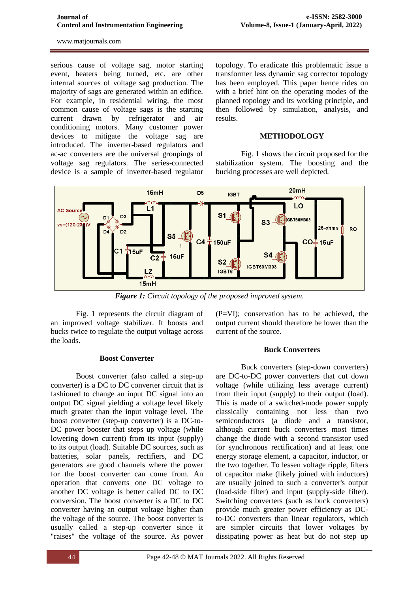serious cause of voltage sag, motor starting event, heaters being turned, etc. are other internal sources of voltage sag production. The majority of sags are generated within an edifice. For example, in residential wiring, the most common cause of voltage sags is the starting current drawn by refrigerator and air conditioning motors. Many customer power devices to mitigate the voltage sag are introduced. The inverter-based regulators and ac-ac converters are the universal groupings of voltage sag regulators. The series-connected device is a sample of inverter-based regulator

topology. To eradicate this problematic issue a transformer less dynamic sag corrector topology has been employed. This paper hence rides on with a brief hint on the operating modes of the planned topology and its working principle, and then followed by simulation, analysis, and results.

#### **METHODOLOGY**

Fig. 1 shows the circuit proposed for the stabilization system. The boosting and the bucking processes are well depicted.



*Figure 1: Circuit topology of the proposed improved system.*

Fig. 1 represents the circuit diagram of an improved voltage stabilizer. It boosts and bucks twice to regulate the output voltage across the loads.

#### **Boost Converter**

Boost converter (also called a step-up converter) is a DC to DC converter circuit that is fashioned to change an input DC signal into an output DC signal yielding a voltage level likely much greater than the input voltage level. The boost converter (step-up converter) is a DC-to-DC power booster that steps up voltage (while lowering down current) from its input (supply) to its output (load). Suitable DC sources, such as batteries, solar panels, rectifiers, and DC generators are good channels where the power for the boost converter can come from. An operation that converts one DC voltage to another DC voltage is better called DC to DC conversion. The boost converter is a DC to DC converter having an output voltage higher than the voltage of the source. The boost converter is usually called a step-up converter since it "raises" the voltage of the source. As power

(P=VI); conservation has to be achieved, the output current should therefore be lower than the current of the source.

#### **Buck Converters**

Buck converters (step-down converters) are DC-to-DC power converters that cut down voltage (while utilizing less average current) from their input (supply) to their output (load). This is made of a switched-mode power supply classically containing not less than two semiconductors (a diode and a transistor, although current buck converters most times change the diode with a second transistor used for synchronous rectification) and at least one energy storage element, a capacitor, inductor, or the two together. To lessen voltage ripple, filters of capacitor make (likely joined with inductors) are usually joined to such a converter's output (load-side filter) and input (supply-side filter). Switching converters (such as buck converters) provide much greater power efficiency as DCto-DC converters than linear regulators, which are simpler circuits that lower voltages by dissipating power as heat but do not step up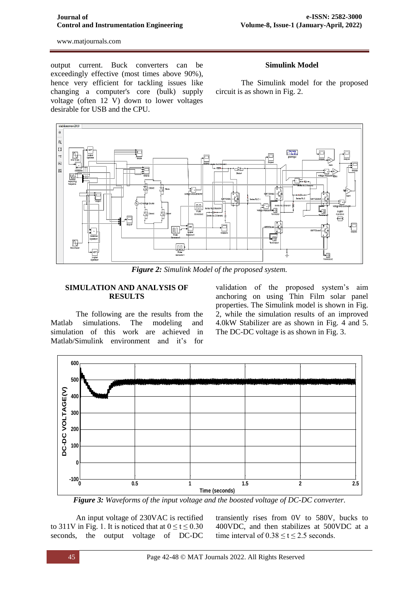#### **Journal of Control and Instrumentation Engineering**

www.matjournals.com

output current. Buck converters can be exceedingly effective (most times above 90%), hence very efficient for tackling issues like changing a computer's core (bulk) supply voltage (often 12 V) down to lower voltages desirable for USB and the CPU.

### **Simulink Model**

The Simulink model for the proposed circuit is as shown in Fig. 2.



*Figure 2: Simulink Model of the proposed system.*

### **SIMULATION AND ANALYSIS OF RESULTS**

The following are the results from the Matlab simulations. The modeling and simulation of this work are achieved in Matlab/Simulink environment and it's for

validation of the proposed system's aim anchoring on using Thin Film solar panel properties. The Simulink model is shown in Fig. 2, while the simulation results of an improved 4.0kW Stabilizer are as shown in Fig. 4 and 5. The DC-DC voltage is as shown in Fig. 3.



*Figure 3: Waveforms of the input voltage and the boosted voltage of DC-DC converter.*

An input voltage of 230VAC is rectified to 311V in Fig. 1. It is noticed that at  $0 \le t \le 0.30$ seconds, the output voltage of DC-DC

transiently rises from 0V to 580V, bucks to 400VDC, and then stabilizes at 500VDC at a time interval of  $0.38 \le t \le 2.5$  seconds.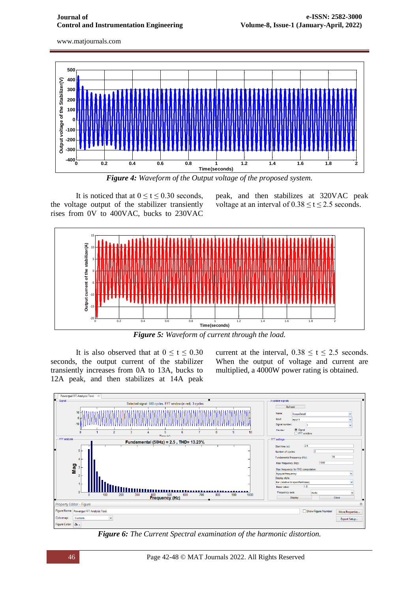

*Figure 4: Waveform of the Output voltage of the proposed system.*

It is noticed that at  $0 \le t \le 0.30$  seconds, the voltage output of the stabilizer transiently rises from 0V to 400VAC, bucks to 230VAC

peak, and then stabilizes at 320VAC peak voltage at an interval of  $0.38 \le t \le 2.5$  seconds.



*Figure 5: Waveform of current through the load.*

It is also observed that at  $0 \le t \le 0.30$ seconds, the output current of the stabilizer transiently increases from 0A to 13A, bucks to 12A peak, and then stabilizes at 14A peak current at the interval,  $0.38 \le t \le 2.5$  seconds. When the output of voltage and current are multiplied, a 4000W power rating is obtained.



*Figure 6: The Current Spectral examination of the harmonic distortion.*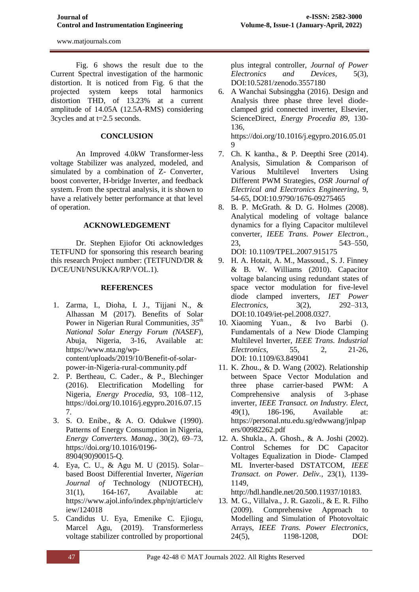Fig. 6 shows the result due to the Current Spectral investigation of the harmonic distortion. It is noticed from Fig. 6 that the projected system keeps total harmonics distortion THD, of 13.23% at a current amplitude of 14.05A (12.5A-RMS) considering 3cycles and at t=2.5 seconds.

# **CONCLUSION**

An Improved 4.0kW Transformer-less voltage Stabilizer was analyzed, modeled, and simulated by a combination of Z- Converter, boost converter, H-bridge Inverter, and feedback system. From the spectral analysis, it is shown to have a relatively better performance at that level of operation.

# **ACKNOWLEDGEMENT**

Dr. Stephen Ejiofor Oti acknowledges TETFUND for sponsoring this research bearing this research Project number: (TETFUND/DR & D/CE/UNI/NSUKKA/RP/VOL.1).

# **REFERENCES**

- 1. Zarma, I., Dioha, I. J., Tijjani N., & Alhassan M (2017). Benefits of Solar Power in Nigerian Rural Communities, *35th National Solar Energy Forum (NASEF*), Abuja, Nigeria, 3-16, Available at: [https://www.nta.ng/wp](https://www.nta.ng/wp-content/uploads/2019/10/Benefit-of-solar-power-in-Nigeria-rural-community.pdf)[content/uploads/2019/10/Benefit-of-solar](https://www.nta.ng/wp-content/uploads/2019/10/Benefit-of-solar-power-in-Nigeria-rural-community.pdf)[power-in-Nigeria-rural-community.pdf](https://www.nta.ng/wp-content/uploads/2019/10/Benefit-of-solar-power-in-Nigeria-rural-community.pdf)
- 2. P. Bertheau, C. Cader., & P., Blechinger (2016). Electrification Modelling for Nigeria, *Energy Procedia*, 93, 108–112, [https://doi.org/10.1016/j.egypro.2016.07.15](https://doi.org/10.1016/j.egypro.2016.07.157) [7.](https://doi.org/10.1016/j.egypro.2016.07.157)
- 3. S. O. Enibe., & A. O. Odukwe (1990). Patterns of Energy Consumption in Nigeria, *Energy Converters. Manag.*, 30(2), 69–73, [https://doi.org/10.1016/0196-](https://doi.org/10.1016/0196-8904(90)90015-Q) [8904\(90\)90015-Q.](https://doi.org/10.1016/0196-8904(90)90015-Q)
- 4. Eya, C. U., & Agu M. U (2015). Solar– based Boost Differential Inverter, *Nigerian Journal of* Technology (NIJOTECH), 31(1), 164-167, Available at: [https://www.ajol.info/index.php/njt/article/v](https://www.ajol.info/index.php/njt/article/view/124018) [iew/124018](https://www.ajol.info/index.php/njt/article/view/124018)
- 5. Candidus U. Eya, Emenike C. Ejiogu, Marcel Agu, (2019). Transformerless voltage stabilizer controlled by proportional

plus integral controller, *Journal of Power Electronics and Devices,* 5(3), DOI[:10.5281/zenodo.3557180](http://dx.doi.org/10.5281/zenodo.3557180)

6. A Wanchai Subsinggha (2016). Design and Analysis three phase three level diodeclamped grid connected inverter, Elsevier, ScienceDirect, *Energy Procedia 89,* 130- 136,

[https://doi.org/10.1016/j.egypro.2016.05.01](https://doi.org/10.1016/j.egypro.2016.05.019)  $\Omega$ 

- 7. Ch. K kantha., & P. Deepthi Sree (2014). Analysis, Simulation & Comparison of Various Multilevel Inverters Using Different PWM Strategies, *OSR Journal of Electrical and Electronics Engineering*, 9, 54-65, DOI[:10.9790/1676-09275465](http://dx.doi.org/10.9790/1676-09275465)
- 8. B. P. McGrath. & D. G. Holmes (2008). Analytical modeling of voltage balance dynamics for a flying Capacitor multilevel converter, *IEEE Trans. Power Electron.*, 23, 543–550, DOI: [10.1109/TPEL.2007.915175](https://doi.org/10.1109/TPEL.2007.915175)
- 9. H. A. Hotait, A. M., Massoud., S. J. Finney & B. W. Williams (2010). Capacitor voltage balancing using redundant states of space vector modulation for five-level diode clamped inverters*, IET Power Electronics,* 3(2), 292–313, DOI[:10.1049/iet-pel.2008.0327.](http://dx.doi.org/10.1049/iet-pel.2008.0327)
- 10. Xiaoming Yuan., & Ivo Barbi (). Fundamentals of a New Diode Clamping Multilevel Inverter, *IEEE Trans. Industrial Electronics*, 55, 2, 21-26, DOI: [10.1109/63.849041](https://doi.org/10.1109/63.849041)
- 11. K. Zhou., & D. Wang (2002). Relationship between Space Vector Modulation and three phase carrier-based PWM: A Comprehensive analysis of 3-phase inverter, *IEEE Transact. on Industry. Elect,* 49(1), 186-196, Available at: [https://personal.ntu.edu.sg/edwwang/jnlpap](https://personal.ntu.edu.sg/edwwang/jnlpapers/00982262.pdf) [ers/00982262.pdf](https://personal.ntu.edu.sg/edwwang/jnlpapers/00982262.pdf)
- 12. A. Shukla., A. Ghosh., & A. Joshi (2002). Control Schemes for DC Capacitor Voltages Equalization in Diode- Clamped ML Inverter-based DSTATCOM, *IEEE Transact. on Power. Deliv.,* 23(1), 1139- 1149,

[http://hdl.handle.net/20.500.11937/10183.](http://hdl.handle.net/20.500.11937/10183)

13. M. G., Villalva., J. R. Gazoli., & E. R. Filho (2009). Comprehensive Approach to Modelling and Simulation of Photovoltaic Arrays, *IEEE Trans. Power Electronics,* 24(5), 1198-1208, DOI: